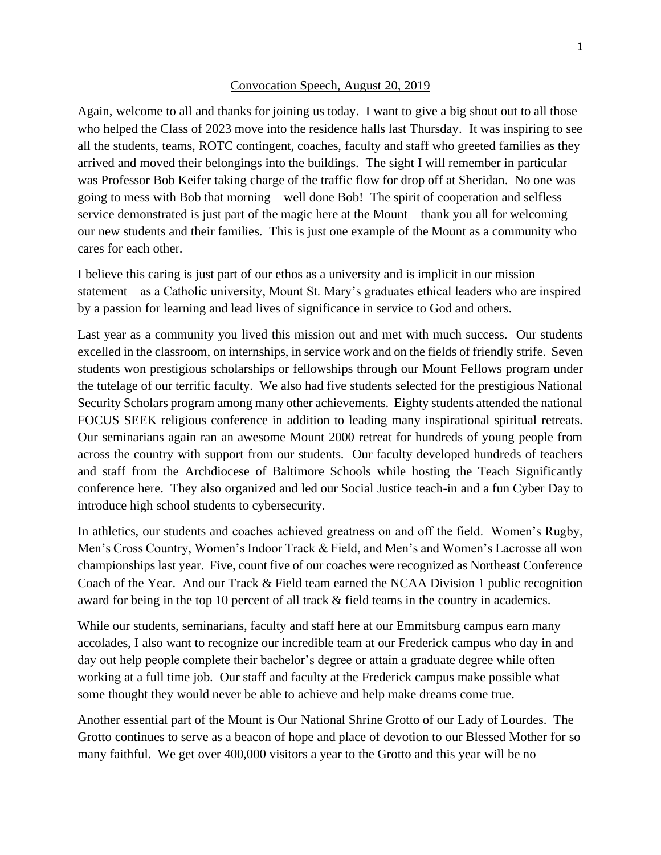## Convocation Speech, August 20, 2019

Again, welcome to all and thanks for joining us today. I want to give a big shout out to all those who helped the Class of 2023 move into the residence halls last Thursday. It was inspiring to see all the students, teams, ROTC contingent, coaches, faculty and staff who greeted families as they arrived and moved their belongings into the buildings. The sight I will remember in particular was Professor Bob Keifer taking charge of the traffic flow for drop off at Sheridan. No one was going to mess with Bob that morning – well done Bob! The spirit of cooperation and selfless service demonstrated is just part of the magic here at the Mount – thank you all for welcoming our new students and their families. This is just one example of the Mount as a community who cares for each other.

I believe this caring is just part of our ethos as a university and is implicit in our mission statement – as a Catholic university, Mount St. Mary's graduates ethical leaders who are inspired by a passion for learning and lead lives of significance in service to God and others.

Last year as a community you lived this mission out and met with much success. Our students excelled in the classroom, on internships, in service work and on the fields of friendly strife. Seven students won prestigious scholarships or fellowships through our Mount Fellows program under the tutelage of our terrific faculty. We also had five students selected for the prestigious National Security Scholars program among many other achievements. Eighty students attended the national FOCUS SEEK religious conference in addition to leading many inspirational spiritual retreats. Our seminarians again ran an awesome Mount 2000 retreat for hundreds of young people from across the country with support from our students. Our faculty developed hundreds of teachers and staff from the Archdiocese of Baltimore Schools while hosting the Teach Significantly conference here. They also organized and led our Social Justice teach-in and a fun Cyber Day to introduce high school students to cybersecurity.

In athletics, our students and coaches achieved greatness on and off the field. Women's Rugby, Men's Cross Country, Women's Indoor Track & Field, and Men's and Women's Lacrosse all won championships last year. Five, count five of our coaches were recognized as Northeast Conference Coach of the Year. And our Track & Field team earned the NCAA Division 1 public recognition award for being in the top 10 percent of all track & field teams in the country in academics.

While our students, seminarians, faculty and staff here at our Emmitsburg campus earn many accolades, I also want to recognize our incredible team at our Frederick campus who day in and day out help people complete their bachelor's degree or attain a graduate degree while often working at a full time job. Our staff and faculty at the Frederick campus make possible what some thought they would never be able to achieve and help make dreams come true.

Another essential part of the Mount is Our National Shrine Grotto of our Lady of Lourdes. The Grotto continues to serve as a beacon of hope and place of devotion to our Blessed Mother for so many faithful. We get over 400,000 visitors a year to the Grotto and this year will be no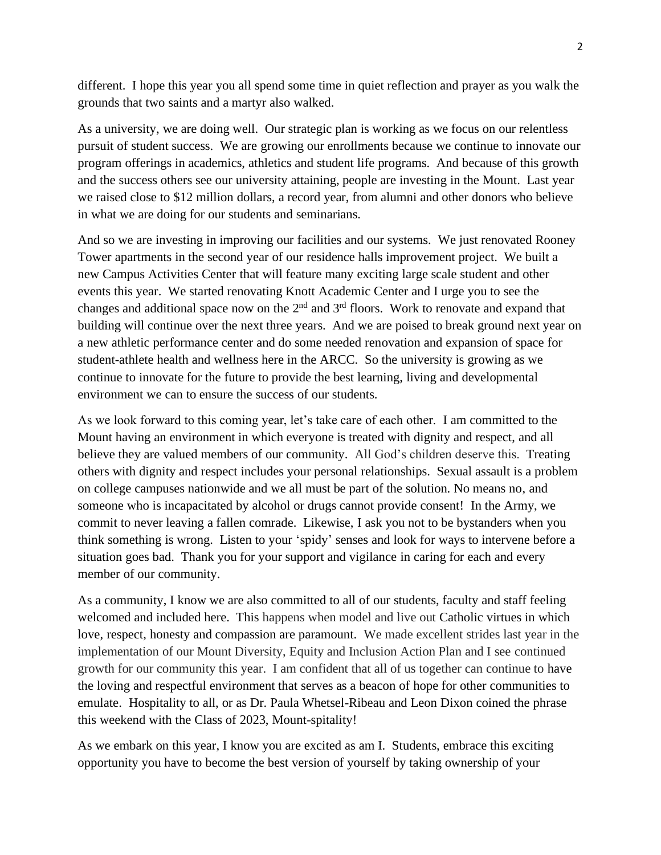different. I hope this year you all spend some time in quiet reflection and prayer as you walk the grounds that two saints and a martyr also walked.

As a university, we are doing well. Our strategic plan is working as we focus on our relentless pursuit of student success. We are growing our enrollments because we continue to innovate our program offerings in academics, athletics and student life programs. And because of this growth and the success others see our university attaining, people are investing in the Mount. Last year we raised close to \$12 million dollars, a record year, from alumni and other donors who believe in what we are doing for our students and seminarians.

And so we are investing in improving our facilities and our systems. We just renovated Rooney Tower apartments in the second year of our residence halls improvement project. We built a new Campus Activities Center that will feature many exciting large scale student and other events this year. We started renovating Knott Academic Center and I urge you to see the changes and additional space now on the  $2<sup>nd</sup>$  and  $3<sup>rd</sup>$  floors. Work to renovate and expand that building will continue over the next three years. And we are poised to break ground next year on a new athletic performance center and do some needed renovation and expansion of space for student-athlete health and wellness here in the ARCC. So the university is growing as we continue to innovate for the future to provide the best learning, living and developmental environment we can to ensure the success of our students.

As we look forward to this coming year, let's take care of each other. I am committed to the Mount having an environment in which everyone is treated with dignity and respect, and all believe they are valued members of our community. All God's children deserve this. Treating others with dignity and respect includes your personal relationships. Sexual assault is a problem on college campuses nationwide and we all must be part of the solution. No means no, and someone who is incapacitated by alcohol or drugs cannot provide consent! In the Army, we commit to never leaving a fallen comrade. Likewise, I ask you not to be bystanders when you think something is wrong. Listen to your 'spidy' senses and look for ways to intervene before a situation goes bad. Thank you for your support and vigilance in caring for each and every member of our community.

As a community, I know we are also committed to all of our students, faculty and staff feeling welcomed and included here. This happens when model and live out Catholic virtues in which love, respect, honesty and compassion are paramount. We made excellent strides last year in the implementation of our Mount Diversity, Equity and Inclusion Action Plan and I see continued growth for our community this year. I am confident that all of us together can continue to have the loving and respectful environment that serves as a beacon of hope for other communities to emulate. Hospitality to all, or as Dr. Paula Whetsel-Ribeau and Leon Dixon coined the phrase this weekend with the Class of 2023, Mount-spitality!

As we embark on this year, I know you are excited as am I. Students, embrace this exciting opportunity you have to become the best version of yourself by taking ownership of your